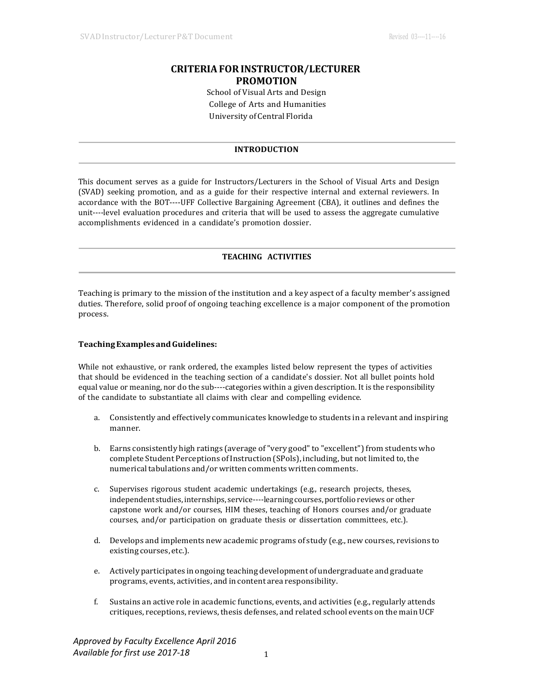# **CRITERIAFORINSTRUCTOR/LECTURER PROMOTION**

School of Visual Arts and Design College of Arts and Humanities University of Central Florida

### **INTRODUCTION**

This document serves as a guide for Instructors/Lecturers in the School of Visual Arts and Design (SVAD) seeking promotion, and as a guide for their respective internal and external reviewers. In accordance with the BOT----UFF Collective Bargaining Agreement (CBA), it outlines and defines the unit----level evaluation procedures and criteria that will be used to assess the aggregate cumulative accomplishments evidenced in a candidate's promotion dossier.

# **TEACHING ACTIVITIES**

Teaching is primary to the mission of the institution and a key aspect of a faculty member's assigned duties. Therefore, solid proof of ongoing teaching excellence is a major component of the promotion process.

#### **TeachingExamples andGuidelines:**

While not exhaustive, or rank ordered, the examples listed below represent the types of activities that should be evidenced in the teaching section of a candidate's dossier. Not all bullet points hold equal value or meaning, nor do the sub----categories within a given description. It is the responsibility of the candidate to substantiate all claims with clear and compelling evidence.

- a. Consistently and effectively communicates knowledge to students in a relevant and inspiring manner.
- b. Earns consistently high ratings (average of "very good" to "excellent") from students who complete Student Perceptions of Instruction (SPols), including, but not limited to, the numerical tabulations and/or written comments written comments.
- c. Supervises rigorous student academic undertakings (e.g., research projects, theses, independent studies, internships, service----learning courses, portfolio reviews or other capstone work and/or courses, HIM theses, teaching of Honors courses and/or graduate courses, and/or participation on graduate thesis or dissertation committees, etc.).
- d. Develops and implements new academic programs of study (e.g., new courses, revisions to existing courses, etc.).
- e. Actively participates in ongoing teaching development of undergraduate and graduate programs, events, activities, and in content area responsibility.
- f. Sustains an active role in academic functions, events, and activities (e.g., regularly attends critiques, receptions, reviews, thesis defenses, and related school events on the main UCF

*Approved by Faculty Excellence April 2016 Available for first use 2017-18*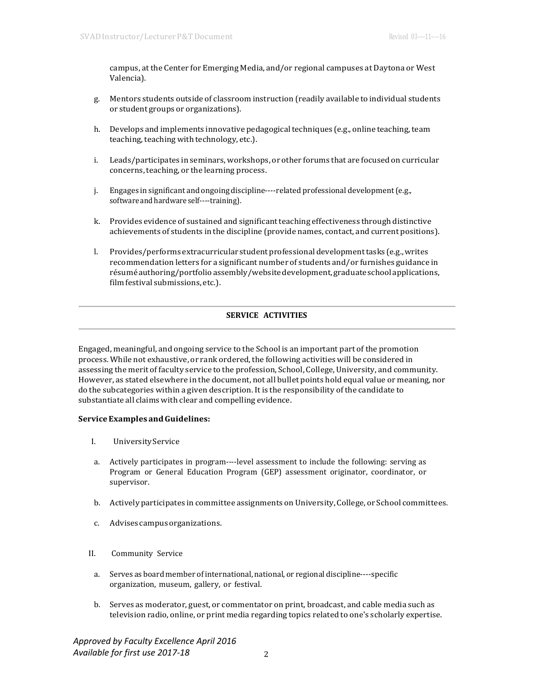campus, at the Center for Emerging Media, and/or regional campuses at Daytona or West Valencia).

- g. Mentors students outside of classroom instruction (readily available to individual students or student groups or organizations).
- h. Develops and implements innovative pedagogical techniques (e.g., online teaching, team teaching, teaching with technology, etc.).
- i. Leads/participates in seminars, workshops, or other forums that are focused on curricular concerns, teaching, or the learning process.
- j. Engages in significant and ongoing discipline----related professional development(e.g., software and hardware self----training).
- k. Provides evidence of sustained and significantteaching effectiveness through distinctive achievements of students in the discipline (provide names, contact, and current positions).
- l. Provides/performs extracurricular student professional development tasks (e.g., writes recommendation letters for a significant number of students and/or furnishes guidance in résuméauthoring/portfolioassembly/websitedevelopment,graduateschoolapplications, film festival submissions, etc.).

# **SERVICE ACTIVITIES**

Engaged, meaningful, and ongoing service to the School is an important part of the promotion process. While not exhaustive, or rank ordered, the following activities will be considered in assessing the merit of faculty service to the profession, School, College, University, and community. However, as stated elsewhere in the document, not all bullet points hold equal value or meaning, nor do the subcategories within a given description. It is the responsibility of the candidate to substantiate all claims with clear and compelling evidence.

### **ServiceExamples andGuidelines:**

- I. UniversityService
- a. Actively participates in program----level assessment to include the following: serving as Program or General Education Program (GEP) assessment originator, coordinator, or supervisor.
- b. Actively participates in committee assignments on University, College, or School committees.
- c. Advisescampusorganizations.
- II. Community Service
	- a. Serves as board member of international, national, or regional discipline----specific organization, museum, gallery, or festival.
	- b. Serves as moderator, guest, or commentator on print, broadcast, and cable media such as television radio, online, or print media regarding topics related to one's scholarly expertise.

*Approved by Faculty Excellence April 2016 Available for first use 2017-18*